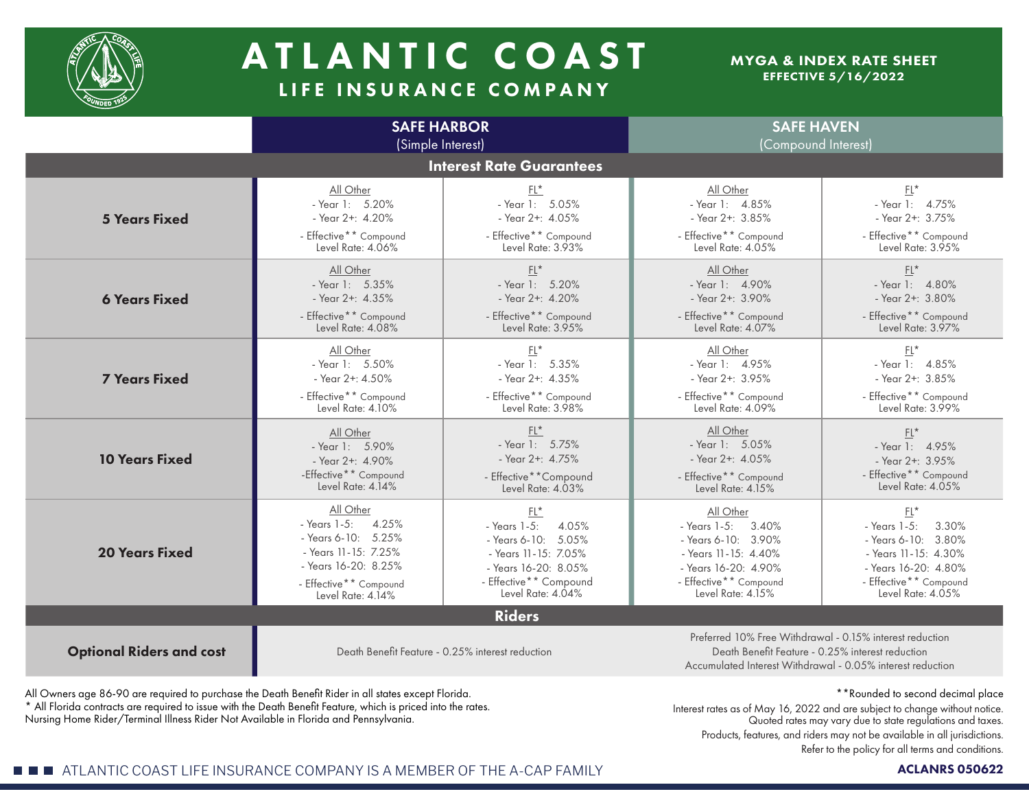

# A TLANTIC COAST LIFE INSURANCE COMPANY

### MYGA & INDEX RATE SHEET EFFECTIVE 5/16/2022

|                                 | <b>SAFE HARBOR</b><br>(Simple Interest)                                                                                                                                                                                        |                                                                                                                                                            | <b>SAFE HAVEN</b><br>(Compound Interest)                                                                                                              |                                                                                                                                                      |  |  |  |  |
|---------------------------------|--------------------------------------------------------------------------------------------------------------------------------------------------------------------------------------------------------------------------------|------------------------------------------------------------------------------------------------------------------------------------------------------------|-------------------------------------------------------------------------------------------------------------------------------------------------------|------------------------------------------------------------------------------------------------------------------------------------------------------|--|--|--|--|
| <b>Interest Rate Guarantees</b> |                                                                                                                                                                                                                                |                                                                                                                                                            |                                                                                                                                                       |                                                                                                                                                      |  |  |  |  |
| <b>5 Years Fixed</b>            | All Other<br>- Year 1: 5.20%<br>- Year 2+: 4.20%<br>- Effective** Compound<br>Level Rate: 4.06%                                                                                                                                | $FL^*$<br>- Year 1: 5.05%<br>- Year 2+: 4.05%<br>- Effective** Compound<br>Level Rate: 3.93%                                                               | All Other<br>- Year 1: 4.85%<br>- Year 2+: 3.85%<br>- Effective** Compound<br>Level Rate: 4.05%                                                       | $EL^*$<br>- Year 1: 4.75%<br>- Year 2+: 3.75%<br>- Effective** Compound<br>Level Rate: 3.95%                                                         |  |  |  |  |
| <b>6 Years Fixed</b>            | All Other<br>- Year 1: 5.35%<br>- Year 2+: 4.35%<br>- Effective** Compound<br>Level Rate: 4.08%                                                                                                                                | $\mathsf{FL}^\star$<br>- Year 1: 5.20%<br>- Year 2+: 4.20%<br>- Effective** Compound<br>Level Rate: 3.95%                                                  | All Other<br>- Year 1: $4.90\%$<br>- Year 2+: 3.90%<br>- Effective** Compound<br>Level Rate: 4.07%                                                    | $\mathsf{FL}^\star$<br>- Year 1: 4.80%<br>- Year 2+: 3.80%<br>- Effective** Compound<br>Level Rate: 3.97%                                            |  |  |  |  |
| <b>7 Years Fixed</b>            | All Other<br>- Year 1: 5.50%<br>- Year 2+: 4.50%<br>- Effective** Compound<br>Level Rate: 4.10%                                                                                                                                | $FL*$<br>- Year 1: 5.35%<br>- Year 2+: 4.35%<br>- Effective** Compound<br>Level Rate: 3.98%                                                                | All Other<br>- Year 1: 4.95%<br>- Year 2+: 3.95%<br>- Effective** Compound<br>Level Rate: 4.09%                                                       | $FL*$<br>- Year 1: 4.85%<br>- Year 2+: 3.85%<br>- Effective** Compound<br>Level Rate: 3.99%                                                          |  |  |  |  |
| <b>10 Years Fixed</b>           | All Other<br>- Year 1: 5.90%<br>- Year 2+: 4.90%<br>-Effective** Compound<br>Level Rate: 4.14%                                                                                                                                 | $FL^*$<br>- Year 1: $5.75%$<br>- Year $2+$ : $4.75%$<br>- Effective**Compound<br>Level Rate: 4.03%                                                         | All Other<br>- Year 1: 5.05%<br>- Year 2+: 4.05%<br>- Effective** Compound<br>Level Rate: 4.15%                                                       | $EL^*$<br>- Year 1: 4.95%<br>- Year 2+: 3.95%<br>- Effective** Compound<br>Level Rate: 4.05%                                                         |  |  |  |  |
| <b>20 Years Fixed</b>           | All Other<br>- Years 1-5:<br>4.25%<br>- Years 6-10: $5.25\%$<br>- Years 11-15: 7.25%<br>- Years 16-20: 8.25%<br>- Effective** Compound<br>Level Rate: 4.14%                                                                    | $FL^*$<br>$-$ Years $1-5$ :<br>4.05%<br>- Years 6-10: 5.05%<br>- Years 11-15: 7.05%<br>- Years 16-20: 8.05%<br>- Effective** Compound<br>Level Rate: 4.04% | All Other<br>- Years 1-5: 3.40%<br>- Years 6-10: 3.90%<br>- Years 11-15: 4.40%<br>- Years 16-20: 4.90%<br>- Effective** Compound<br>Level Rate: 4.15% | $FL*$<br>- Years 1-5:<br>3.30%<br>- Years 6-10: 3.80%<br>- Years 11-15: 4.30%<br>- Years 16-20: 4.80%<br>- Effective** Compound<br>Level Rate: 4.05% |  |  |  |  |
| <b>Riders</b>                   |                                                                                                                                                                                                                                |                                                                                                                                                            |                                                                                                                                                       |                                                                                                                                                      |  |  |  |  |
| <b>Optional Riders and cost</b> | Preferred 10% Free Withdrawal - 0.15% interest reduction<br>Death Benefit Feature - 0.25% interest reduction<br>Death Benefit Feature - 0.25% interest reduction<br>Accumulated Interest Withdrawal - 0.05% interest reduction |                                                                                                                                                            |                                                                                                                                                       |                                                                                                                                                      |  |  |  |  |

All Owners age 86-90 are required to purchase the Death Benefit Rider in all states except Florida. \* All Florida contracts are required to issue with the Death Benefit Feature, which is priced into the rates. All Florida contracts are required to issue with the Death Benetit Feature, which is priced into the rates. The contract rates as of May 16, 2022 and are subject to change without notice. Nursing Home Rider/Terminal Illnes

\*\*Rounded to second decimal place

Products, features, and riders may not be available in all jurisdictions. Refer to the policy for all terms and conditions.

## **ATLANTIC COAST LIFE INSURANCE COMPANY IS A MEMBER OF THE A-CAP FAMILY ACLANTIC ACLANRS 050622** ACLANRS 050622